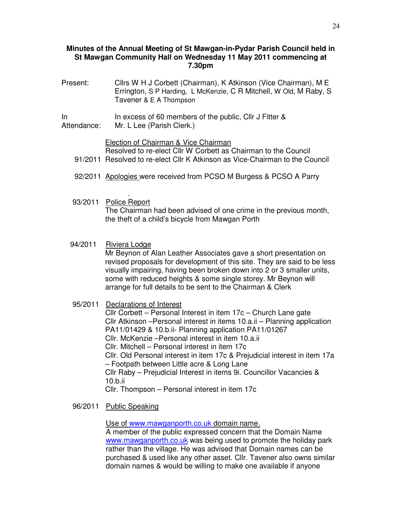# **Minutes of the Annual Meeting of St Mawgan-in-Pydar Parish Council held in St Mawgan Community Hall on Wednesday 11 May 2011 commencing at 7.30pm**

- Present: Cllrs W H J Corbett (Chairman), K Atkinson (Vice Chairman), M E Errington, S P Harding, L McKenzie, C R Mitchell, W Old, M Raby, S Tavener & E A Thompson
- In Attendance: In excess of 60 members of the public, Cllr J Fitter & Mr. L Lee (Parish Clerk.)

# Election of Chairman & Vice Chairman

Resolved to re-elect Cllr W Corbett as Chairman to the Council 91/2011 Resolved to re-elect Cllr K Atkinson as Vice-Chairman to the Council

- 92/2011 Apologies were received from PCSO M Burgess & PCSO A Parry
- . 93/2011 Police Report The Chairman had been advised of one crime in the previous month, the theft of a child's bicycle from Mawgan Porth
- 94/2011 Riviera Lodge

Mr Beynon of Alan Leather Associates gave a short presentation on revised proposals for development of this site. They are said to be less visually impairing, having been broken down into 2 or 3 smaller units, some with reduced heights & some single storey. Mr Beynon will arrange for full details to be sent to the Chairman & Clerk

95/2011 Declarations of Interest

Cllr Corbett – Personal Interest in item 17c – Church Lane gate Cllr Atkinson –Personal interest in items 10.a.ii – Planning application PA11/01429 & 10.b.ii- Planning application PA11/01267 Cllr. McKenzie –Personal interest in item 10.a.ii Cllr. Mitchell – Personal interest in item 17c Cllr. Old Personal interest in item 17c & Prejudicial interest in item 17a – Footpath between Little acre & Long Lane Cllr Raby – Prejudicial Interest in items 9i. Councillor Vacancies & 10.b.ii Cllr. Thompson – Personal interest in item 17c

96/2011 Public Speaking

Use of www.mawganporth.co.uk domain name.

A member of the public expressed concern that the Domain Name www.mawganporth.co.uk was being used to promote the holiday park rather than the village. He was advised that Domain names can be purchased & used like any other asset. Cllr. Tavener also owns similar domain names & would be willing to make one available if anyone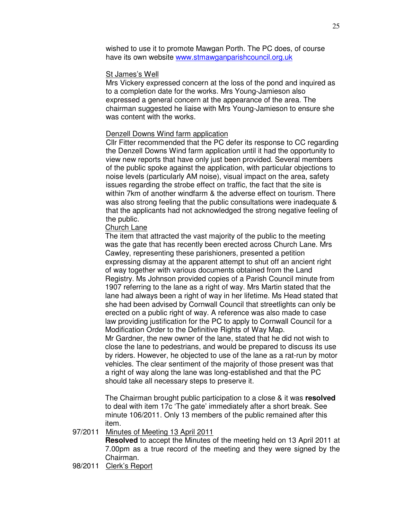wished to use it to promote Mawgan Porth. The PC does, of course have its own website www.stmawganparishcouncil.org.uk

### St James's Well

Mrs Vickery expressed concern at the loss of the pond and inquired as to a completion date for the works. Mrs Young-Jamieson also expressed a general concern at the appearance of the area. The chairman suggested he liaise with Mrs Young-Jamieson to ensure she was content with the works.

### Denzell Downs Wind farm application

Cllr Fitter recommended that the PC defer its response to CC regarding the Denzell Downs Wind farm application until it had the opportunity to view new reports that have only just been provided. Several members of the public spoke against the application, with particular objections to noise levels (particularly AM noise), visual impact on the area, safety issues regarding the strobe effect on traffic, the fact that the site is within 7km of another windfarm & the adverse effect on tourism. There was also strong feeling that the public consultations were inadequate & that the applicants had not acknowledged the strong negative feeling of the public.

# Church Lane

The item that attracted the vast majority of the public to the meeting was the gate that has recently been erected across Church Lane. Mrs Cawley, representing these parishioners, presented a petition expressing dismay at the apparent attempt to shut off an ancient right of way together with various documents obtained from the Land Registry. Ms Johnson provided copies of a Parish Council minute from 1907 referring to the lane as a right of way. Mrs Martin stated that the lane had always been a right of way in her lifetime. Ms Head stated that she had been advised by Cornwall Council that streetlights can only be erected on a public right of way. A reference was also made to case law providing justification for the PC to apply to Cornwall Council for a Modification Order to the Definitive Rights of Way Map.

Mr Gardner, the new owner of the lane, stated that he did not wish to close the lane to pedestrians, and would be prepared to discuss its use by riders. However, he objected to use of the lane as a rat-run by motor vehicles. The clear sentiment of the majority of those present was that a right of way along the lane was long-established and that the PC should take all necessary steps to preserve it.

The Chairman brought public participation to a close & it was **resolved** to deal with item 17c 'The gate' immediately after a short break. See minute 106/2011. Only 13 members of the public remained after this item.

### 97/2011 Minutes of Meeting 13 April 2011

**Resolved** to accept the Minutes of the meeting held on 13 April 2011 at 7.00pm as a true record of the meeting and they were signed by the Chairman.

### 98/2011 Clerk's Report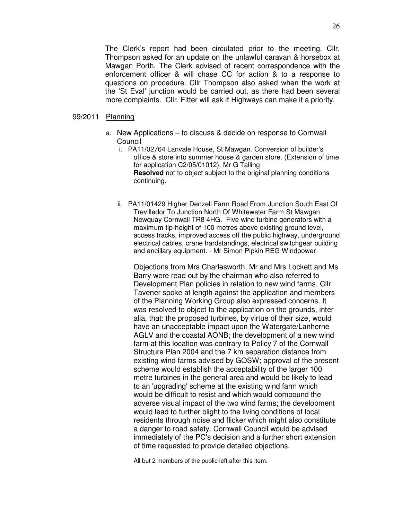The Clerk's report had been circulated prior to the meeting. Cllr. Thompson asked for an update on the unlawful caravan & horsebox at Mawgan Porth. The Clerk advised of recent correspondence with the enforcement officer & will chase CC for action & to a response to questions on procedure. Cllr Thompson also asked when the work at the 'St Eval' junction would be carried out, as there had been several more complaints. Cllr. Fitter will ask if Highways can make it a priority.

### 99/2011 Planning

- a. New Applications to discuss & decide on response to Cornwall **Council** 
	- i. PA11/02764 Lanvale House, St Mawgan. Conversion of builder's office & store into summer house & garden store. (Extension of time for application C2/05/01012). Mr G Talling **Resolved** not to object subject to the original planning conditions continuing.
	- ii. PA11/01429 Higher Denzell Farm Road From Junction South East Of Trevilledor To Junction North Of Whitewater Farm St Mawgan Newquay Cornwall TR8 4HG. Five wind turbine generators with a maximum tip-height of 100 metres above existing ground level, access tracks, improved access off the public highway, underground electrical cables, crane hardstandings, electrical switchgear building and ancillary equipment. - Mr Simon Pipkin REG Windpower

Objections from Mrs Charlesworth, Mr and Mrs Lockett and Ms Barry were read out by the chairman who also referred to Development Plan policies in relation to new wind farms. Cllr Tavener spoke at length against the application and members of the Planning Working Group also expressed concerns. It was resolved to object to the application on the grounds, inter alia, that: the proposed turbines, by virtue of their size, would have an unacceptable impact upon the Watergate/Lanherne AGLV and the coastal AONB; the development of a new wind farm at this location was contrary to Policy 7 of the Cornwall Structure Plan 2004 and the 7 km separation distance from existing wind farms advised by GOSW; approval of the present scheme would establish the acceptability of the larger 100 metre turbines in the general area and would be likely to lead to an 'upgrading' scheme at the existing wind farm which would be difficult to resist and which would compound the adverse visual impact of the two wind farms; the development would lead to further blight to the living conditions of local residents through noise and flicker which might also constitute a danger to road safety. Cornwall Council would be advised immediately of the PC's decision and a further short extension of time requested to provide detailed objections.

All but 2 members of the public left after this item.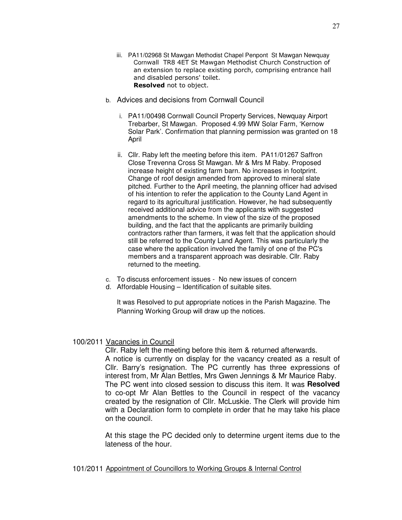- iii. PA11/02968 St Mawgan Methodist Chapel Penpont St Mawgan Newquay Cornwall TR8 4ET St Mawgan Methodist Church Construction of an extension to replace existing porch, comprising entrance hall and disabled persons' toilet. Resolved not to object.
- b. Advices and decisions from Cornwall Council
	- i. PA11/00498 Cornwall Council Property Services, Newquay Airport Trebarber, St Mawgan. Proposed 4.99 MW Solar Farm, 'Kernow Solar Park'. Confirmation that planning permission was granted on 18 April
	- ii. Cllr. Raby left the meeting before this item. PA11/01267 Saffron Close Trevenna Cross St Mawgan. Mr & Mrs M Raby. Proposed increase height of existing farm barn. No increases in footprint. Change of roof design amended from approved to mineral slate pitched. Further to the April meeting, the planning officer had advised of his intention to refer the application to the County Land Agent in regard to its agricultural justification. However, he had subsequently received additional advice from the applicants with suggested amendments to the scheme. In view of the size of the proposed building, and the fact that the applicants are primarily building contractors rather than farmers, it was felt that the application should still be referred to the County Land Agent. This was particularly the case where the application involved the family of one of the PC's members and a transparent approach was desirable. Cllr. Raby returned to the meeting.
- c. To discuss enforcement issues No new issues of concern
- d. Affordable Housing Identification of suitable sites.

It was Resolved to put appropriate notices in the Parish Magazine. The Planning Working Group will draw up the notices.

## 100/2011 Vacancies in Council

Cllr. Raby left the meeting before this item & returned afterwards. A notice is currently on display for the vacancy created as a result of Cllr. Barry's resignation. The PC currently has three expressions of interest from, Mr Alan Bettles, Mrs Gwen Jennings & Mr Maurice Raby. The PC went into closed session to discuss this item. It was **Resolved** to co-opt Mr Alan Bettles to the Council in respect of the vacancy created by the resignation of Cllr. McLuskie. The Clerk will provide him with a Declaration form to complete in order that he may take his place on the council.

At this stage the PC decided only to determine urgent items due to the lateness of the hour.

### 101/2011 Appointment of Councillors to Working Groups & Internal Control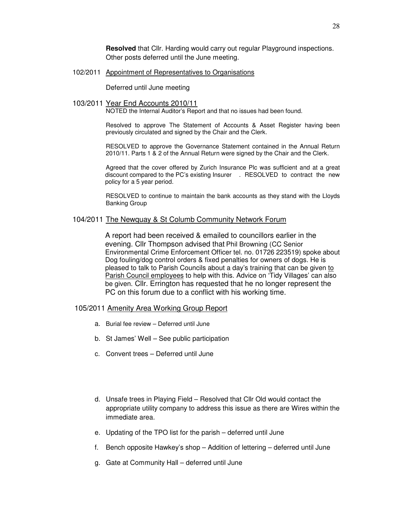**Resolved** that Cllr. Harding would carry out regular Playground inspections. Other posts deferred until the June meeting.

#### 102/2011 Appointment of Representatives to Organisations

Deferred until June meeting

#### 103/2011 Year End Accounts 2010/11

NOTED the Internal Auditor's Report and that no issues had been found.

Resolved to approve The Statement of Accounts & Asset Register having been previously circulated and signed by the Chair and the Clerk.

RESOLVED to approve the Governance Statement contained in the Annual Return 2010/11. Parts 1 & 2 of the Annual Return were signed by the Chair and the Clerk.

 Agreed that the cover offered by Zurich Insurance Plc was sufficient and at a great discount compared to the PC's existing Insurer . RESOLVED to contract the new policy for a 5 year period.

 RESOLVED to continue to maintain the bank accounts as they stand with the Lloyds Banking Group

## 104/2011 The Newquay & St Columb Community Network Forum

A report had been received & emailed to councillors earlier in the evening. Cllr Thompson advised that Phil Browning (CC Senior Environmental Crime Enforcement Officer tel. no. 01726 223519) spoke about Dog fouling/dog control orders & fixed penalties for owners of dogs. He is pleased to talk to Parish Councils about a day's training that can be given to Parish Council employees to help with this. Advice on 'Tidy Villages' can also be given. Cllr. Errington has requested that he no longer represent the PC on this forum due to a conflict with his working time.

#### 105/2011 Amenity Area Working Group Report

- a. Burial fee review Deferred until June
- b. St James' Well See public participation
- c. Convent trees Deferred until June
- d. Unsafe trees in Playing Field Resolved that Cllr Old would contact the appropriate utility company to address this issue as there are Wires within the immediate area.
- e. Updating of the TPO list for the parish deferred until June
- f. Bench opposite Hawkey's shop Addition of lettering deferred until June
- g. Gate at Community Hall deferred until June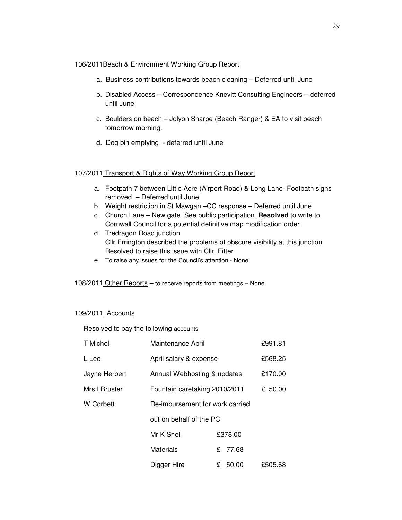### 106/2011Beach & Environment Working Group Report

- a. Business contributions towards beach cleaning Deferred until June
- b. Disabled Access Correspondence Knevitt Consulting Engineers deferred until June
- c. Boulders on beach Jolyon Sharpe (Beach Ranger) & EA to visit beach tomorrow morning.
- d. Dog bin emptying deferred until June

## 107/2011 Transport & Rights of Way Working Group Report

- a. Footpath 7 between Little Acre (Airport Road) & Long Lane- Footpath signs removed. – Deferred until June
- b. Weight restriction in St Mawgan –CC response Deferred until June
- c. Church Lane New gate. See public participation. **Resolved** to write to Cornwall Council for a potential definitive map modification order.
- d. Tredragon Road junction Cllr Errington described the problems of obscure visibility at this junction Resolved to raise this issue with Cllr. Fitter
- e. To raise any issues for the Council's attention None
- 108/2011 Other Reports to receive reports from meetings None

## 109/2011 Accounts

Resolved to pay the following accounts

| T Michell     | Maintenance April               |           | £991.81 |
|---------------|---------------------------------|-----------|---------|
| L Lee         | April salary & expense          |           | £568.25 |
| Jayne Herbert | Annual Webhosting & updates     |           | £170.00 |
| Mrs I Bruster | Fountain caretaking 2010/2011   |           | £ 50.00 |
| W Corbett     | Re-imbursement for work carried |           |         |
|               | out on behalf of the PC         |           |         |
|               | Mr K Snell                      | £378.00   |         |
|               | <b>Materials</b>                | £ 77.68   |         |
|               | Digger Hire                     | £ $50.00$ | £505.68 |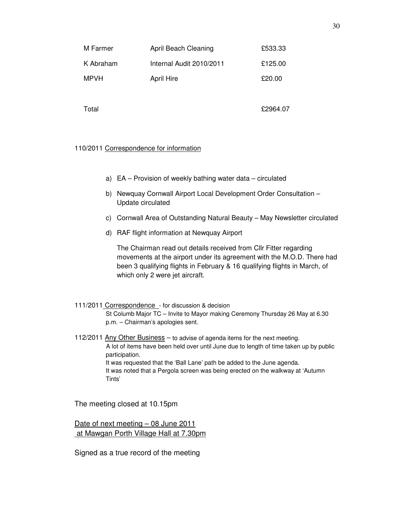| M Farmer  | April Beach Cleaning     | £533.33  |
|-----------|--------------------------|----------|
| K Abraham | Internal Audit 2010/2011 | £125.00  |
| MPVH      | <b>April Hire</b>        | £20.00   |
|           |                          |          |
| Total     |                          | £2964.07 |

## 110/2011 Correspondence for information

- a) EA Provision of weekly bathing water data circulated
- b) Newquay Cornwall Airport Local Development Order Consultation Update circulated
- c) Cornwall Area of Outstanding Natural Beauty May Newsletter circulated
- d) RAF flight information at Newquay Airport

The Chairman read out details received from Cllr Fitter regarding movements at the airport under its agreement with the M.O.D. There had been 3 qualifying flights in February & 16 qualifying flights in March, of which only 2 were jet aircraft.

111/2011 Correspondence - for discussion & decision St Columb Major TC – Invite to Mayor making Ceremony Thursday 26 May at 6.30 p.m. – Chairman's apologies sent.

112/2011 Any Other Business – to advise of agenda items for the next meeting. A lot of items have been held over until June due to length of time taken up by public participation. It was requested that the 'Ball Lane' path be added to the June agenda. It was noted that a Pergola screen was being erected on the walkway at 'Autumn Tints'

The meeting closed at 10.15pm

Date of next meeting – 08 June 2011 at Mawgan Porth Village Hall at 7.30pm

Signed as a true record of the meeting